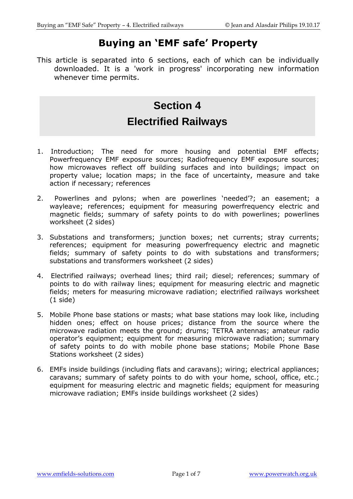# **Buying an 'EMF safe' Property**

This article is separated into 6 sections, each of which can be individually downloaded. It is a 'work in progress' incorporating new information whenever time permits.

# **Section 4 Electrified Railways**

- 1. Introduction; The need for more housing and potential EMF effects; Powerfrequency EMF exposure sources; Radiofrequency EMF exposure sources; how microwaves reflect off building surfaces and into buildings; impact on property value; location maps; in the face of uncertainty, measure and take action if necessary; references
- 2. Powerlines and pylons; when are powerlines 'needed'?; an easement; a wayleave; references; equipment for measuring powerfrequency electric and magnetic fields; summary of safety points to do with powerlines; powerlines worksheet (2 sides)
- 3. Substations and transformers; junction boxes; net currents; stray currents; references; equipment for measuring powerfrequency electric and magnetic fields; summary of safety points to do with substations and transformers; substations and transformers worksheet (2 sides)
- 4. Electrified railways; overhead lines; third rail; diesel; references; summary of points to do with railway lines; equipment for measuring electric and magnetic fields; meters for measuring microwave radiation; electrified railways worksheet  $(1 \text{ side})$
- 5. Mobile Phone base stations or masts; what base stations may look like, including hidden ones; effect on house prices; distance from the source where the microwave radiation meets the ground; drums; TETRA antennas; amateur radio operator's equipment; equipment for measuring microwave radiation; summary of safety points to do with mobile phone base stations; Mobile Phone Base Stations worksheet (2 sides)
- 6. EMFs inside buildings (including flats and caravans); wiring; electrical appliances; caravans; summary of safety points to do with your home, school, office, etc.; equipment for measuring electric and magnetic fields; equipment for measuring microwave radiation; EMFs inside buildings worksheet (2 sides)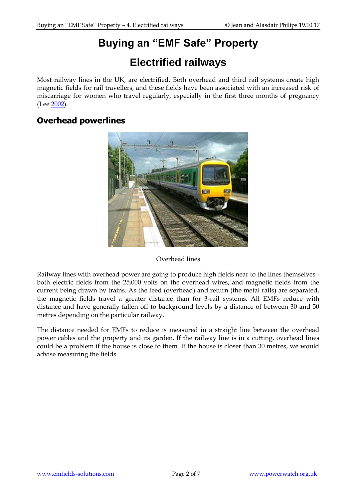# **Buying an "EMF Safe" Property**

# **Electrified railways**

Most railway lines in the UK, are electrified. Both overhead and third rail systems create high magnetic fields for rail travellers, and these fields have been associated with an increased risk of miscarriage for women who travel regularly, especially in the first three months of pregnancy (Lee [2002\)](http://www.ncbi.nlm.nih.gov/pubmed/11805582).

#### **Overhead powerlines**



#### Overhead lines

Railway lines with overhead power are going to produce high fields near to the lines themselves both electric fields from the 25,000 volts on the overhead wires, and magnetic fields from the current being drawn by trains. As the feed (overhead) and return (the metal rails) are separated, the magnetic fields travel a greater distance than for 3-rail systems. All EMFs reduce with distance and have generally fallen off to background levels by a distance of between 30 and 50 metres depending on the particular railway.

The distance needed for EMFs to reduce is measured in a straight line between the overhead power cables and the property and its garden. If the railway line is in a cutting, overhead lines could be a problem if the house is close to them. If the house is closer than 30 metres, we would advise measuring the fields.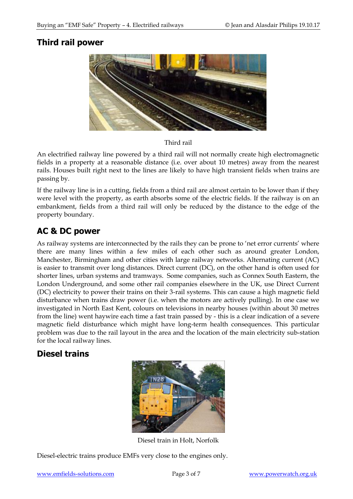### **Third rail power**



Third rail

An electrified railway line powered by a third rail will not normally create high electromagnetic fields in a property at a reasonable distance (i.e. over about 10 metres) away from the nearest rails. Houses built right next to the lines are likely to have high transient fields when trains are passing by.

If the railway line is in a cutting, fields from a third rail are almost certain to be lower than if they were level with the property, as earth absorbs some of the electric fields. If the railway is on an embankment, fields from a third rail will only be reduced by the distance to the edge of the property boundary.

## **AC & DC power**

As railway systems are interconnected by the rails they can be prone to 'net error currents' where there are many lines within a few miles of each other such as around greater London, Manchester, Birmingham and other cities with large railway networks. Alternating current (AC) is easier to transmit over long distances. Direct current (DC), on the other hand is often used for shorter lines, urban systems and tramways. Some companies, such as Connex South Eastern, the London Underground, and some other rail companies elsewhere in the UK, use Direct Current (DC) electricity to power their trains on their 3-rail systems. This can cause a high magnetic field disturbance when trains draw power (i.e. when the motors are actively pulling). In one case we investigated in North East Kent, colours on televisions in nearby houses (within about 30 metres from the line) went haywire each time a fast train passed by - this is a clear indication of a severe magnetic field disturbance which might have long-term health consequences. This particular problem was due to the rail layout in the area and the location of the main electricity sub-station for the local railway lines.

#### **Diesel trains**



Diesel train in Holt, Norfolk

Diesel-electric trains produce EMFs very close to the engines only.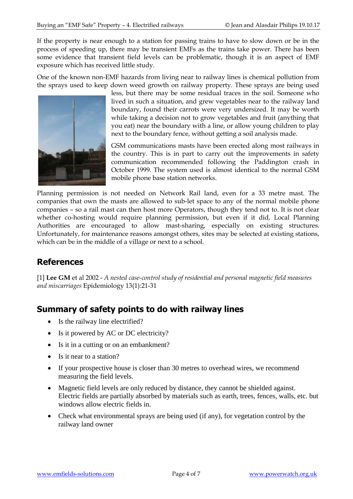If the property is near enough to a station for passing trains to have to slow down or be in the process of speeding up, there may be transient EMFs as the trains take power. There has been some evidence that transient field levels can be problematic, though it is an aspect of EMF exposure which has received little study.

One of the known non-EMF hazards from living near to railway lines is chemical pollution from the sprays used to keep down weed growth on railway property. These sprays are being used



less, but there may be some residual traces in the soil. Someone who lived in such a situation, and grew vegetables near to the railway land boundary, found their carrots were very undersized. It may be worth while taking a decision not to grow vegetables and fruit (anything that you eat) near the boundary with a line, or allow young children to play next to the boundary fence, without getting a soil analysis made.

GSM communications masts have been erected along most railways in the country. This is in part to carry out the improvements in safety communication recommended following the Paddington crash in October 1999. The system used is almost identical to the normal GSM mobile phone base station networks.

Planning permission is not needed on Network Rail land, even for a 33 metre mast. The companies that own the masts are allowed to sub-let space to any of the normal mobile phone companies – so a rail mast can then host more Operators, though they tend not to. It is not clear whether co-hosting would require planning permission, but even if it did, Local Planning Authorities are encouraged to allow mast-sharing, especially on existing structures. Unfortunately, for maintenance reasons amongst others, sites may be selected at existing stations, which can be in the middle of a village or next to a school.

### **References**

[1] **Lee GM** et al 2002 - *A nested case-control study of residential and personal magnetic field measures and miscarriages* Epidemiology 13(1):21-31

### **Summary of safety points to do with railway lines**

- Is the railway line electrified?
- Is it powered by AC or DC electricity?
- Is it in a cutting or on an embankment?
- Is it near to a station?
- If your prospective house is closer than 30 metres to overhead wires, we recommend measuring the field levels.
- Magnetic field levels are only reduced by distance, they cannot be shielded against. Electric fields are partially absorbed by materials such as earth, trees, fences, walls, etc. but windows allow electric fields in.
- Check what environmental sprays are being used (if any), for vegetation control by the railway land owner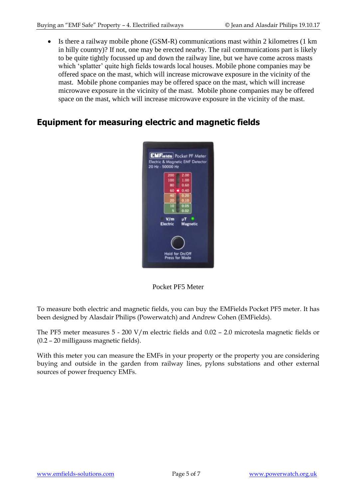• Is there a railway mobile phone (GSM-R) communications mast within 2 kilometres (1 km in hilly country)? If not, one may be erected nearby. The rail communications part is likely to be quite tightly focussed up and down the railway line, but we have come across masts which 'splatter' quite high fields towards local houses. Mobile phone companies may be offered space on the mast, which will increase microwave exposure in the vicinity of the mast. Mobile phone companies may be offered space on the mast, which will increase microwave exposure in the vicinity of the mast. Mobile phone companies may be offered space on the mast, which will increase microwave exposure in the vicinity of the mast.

### **Equipment for measuring electric and magnetic fields**



Pocket PF5 Meter

To measure both electric and magnetic fields, you can buy the EMFields Pocket PF5 meter. It has been designed by Alasdair Philips (Powerwatch) and Andrew Cohen (EMFields).

The PF5 meter measures 5 - 200 V/m electric fields and 0.02 – 2.0 microtesla magnetic fields or (0.2 – 20 milligauss magnetic fields).

With this meter you can measure the EMFs in your property or the property you are considering buying and outside in the garden from railway lines, pylons substations and other external sources of power frequency EMFs.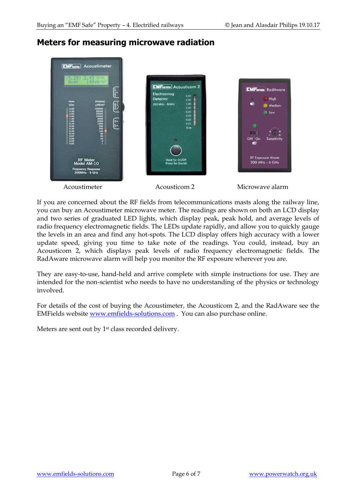### **Meters for measuring microwave radiation**



If you are concerned about the RF fields from telecommunications masts along the railway line, you can buy an Acoustimeter microwave meter. The readings are shown on both an LCD display and two series of graduated LED lights, which display peak, peak hold, and average levels of radio frequency electromagnetic fields. The LEDs update rapidly, and allow you to quickly gauge the levels in an area and find any hot-spots. The LCD display offers high accuracy with a lower update speed, giving you time to take note of the readings. You could, instead, buy an Acousticom 2, which displays peak levels of radio frequency electromagnetic fields. The RadAware microwave alarm will help you monitor the RF exposure wherever you are.

They are easy-to-use, hand-held and arrive complete with simple instructions for use. They are intended for the non-scientist who needs to have no understanding of the physics or technology involved.

For details of the cost of buying the Acoustimeter, the Acousticom 2, and the RadAware see the EMFields website [www.emfields-solutions.com](http://www.emfields-solutions.com/) . You can also purchase online.

Meters are sent out by 1<sup>st</sup> class recorded delivery.